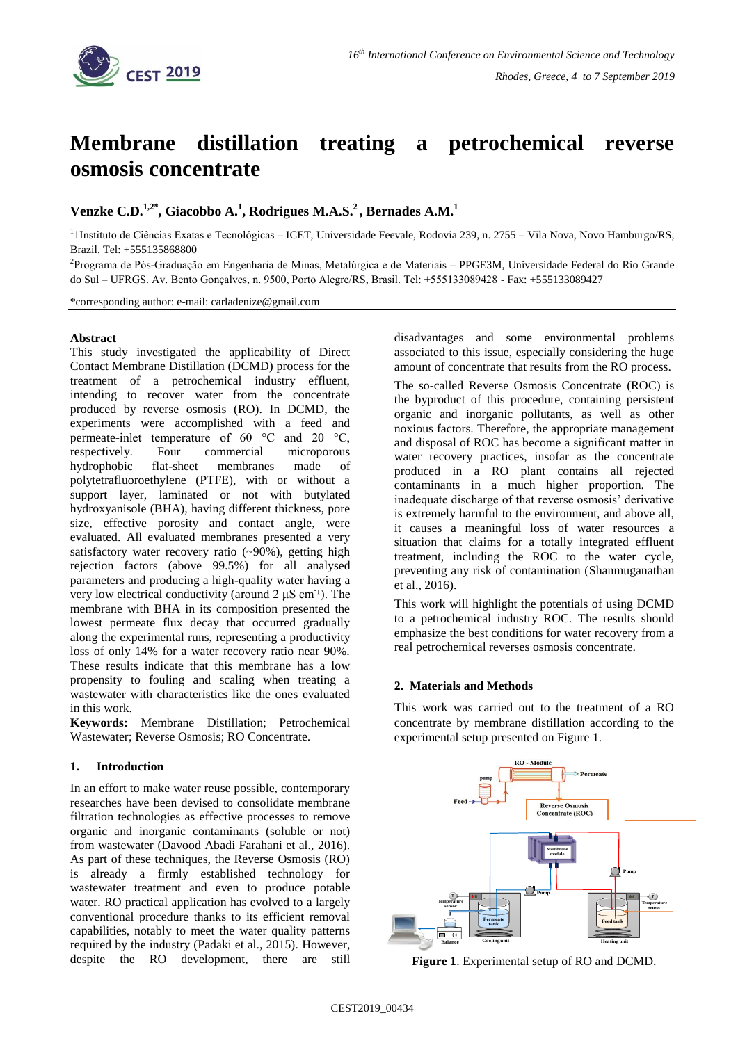

# **Membrane distillation treating a petrochemical reverse osmosis concentrate**

**Venzke C.D.1,2\* , Giacobbo A.<sup>1</sup> , Rodrigues M.A.S.<sup>2</sup> , Bernades A.M.<sup>1</sup>**

<sup>1</sup> IInstituto de Ciências Exatas e Tecnológicas - ICET, Universidade Feevale, Rodovia 239, n. 2755 - Vila Nova, Novo Hamburgo/RS, Brazil. Tel: +555135868800

<sup>2</sup>Programa de Pós-Graduação em Engenharia de Minas, Metalúrgica e de Materiais – PPGE3M, Universidade Federal do Rio Grande do Sul – UFRGS. Av. Bento Gonçalves, n. 9500, Porto Alegre/RS, Brasil. Tel: +555133089428 - Fax: +555133089427

\*corresponding author: e-mail: carladenize@gmail.com

### **Abstract**

This study investigated the applicability of Direct Contact Membrane Distillation (DCMD) process for the treatment of a petrochemical industry effluent, intending to recover water from the concentrate produced by reverse osmosis (RO). In DCMD, the experiments were accomplished with a feed and permeate-inlet temperature of 60 °C and 20 °C, respectively. Four commercial microporous hydrophobic flat-sheet membranes made of polytetrafluoroethylene (PTFE), with or without a support layer, laminated or not with butylated hydroxyanisole (BHA), having different thickness, pore size, effective porosity and contact angle, were evaluated. All evaluated membranes presented a very satisfactory water recovery ratio  $(-90\%)$ , getting high rejection factors (above 99.5%) for all analysed parameters and producing a high-quality water having a very low electrical conductivity (around  $2 \mu S$  cm<sup>-1</sup>). The membrane with BHA in its composition presented the lowest permeate flux decay that occurred gradually along the experimental runs, representing a productivity loss of only 14% for a water recovery ratio near 90%. These results indicate that this membrane has a low propensity to fouling and scaling when treating a wastewater with characteristics like the ones evaluated in this work.

**Keywords:** Membrane Distillation; Petrochemical Wastewater; Reverse Osmosis; RO Concentrate.

## **1. Introduction**

In an effort to make water reuse possible, contemporary researches have been devised to consolidate membrane filtration technologies as effective processes to remove organic and inorganic contaminants (soluble or not) from wastewater (Davood Abadi Farahani et al., 2016). As part of these techniques, the Reverse Osmosis (RO) is already a firmly established technology for wastewater treatment and even to produce potable water. RO practical application has evolved to a largely conventional procedure thanks to its efficient removal capabilities, notably to meet the water quality patterns required by the industry (Padaki et al., 2015). However, despite the RO development, there are still

disadvantages and some environmental problems associated to this issue, especially considering the huge amount of concentrate that results from the RO process.

The so-called Reverse Osmosis Concentrate (ROC) is the byproduct of this procedure, containing persistent organic and inorganic pollutants, as well as other noxious factors. Therefore, the appropriate management and disposal of ROC has become a significant matter in water recovery practices, insofar as the concentrate produced in a RO plant contains all rejected contaminants in a much higher proportion. The inadequate discharge of that reverse osmosis' derivative is extremely harmful to the environment, and above all, it causes a meaningful loss of water resources a situation that claims for a totally integrated effluent treatment, including the ROC to the water cycle, preventing any risk of contamination (Shanmuganathan et al., 2016).

This work will highlight the potentials of using DCMD to a petrochemical industry ROC. The results should emphasize the best conditions for water recovery from a real petrochemical reverses osmosis concentrate.

### **2. Materials and Methods**

This work was carried out to the treatment of a RO concentrate by membrane distillation according to the experimental setup presented on Figure 1.



**Figure 1**. Experimental setup of RO and DCMD.